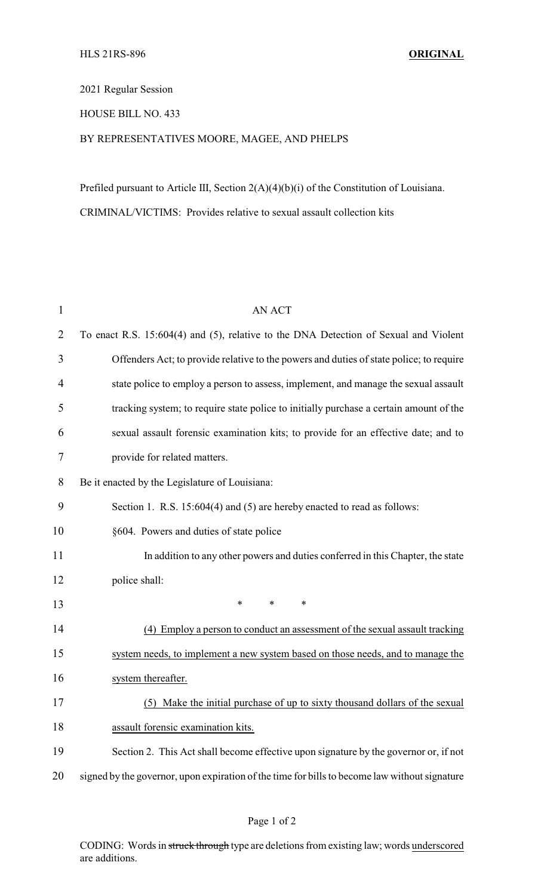## 2021 Regular Session

## HOUSE BILL NO. 433

## BY REPRESENTATIVES MOORE, MAGEE, AND PHELPS

Prefiled pursuant to Article III, Section 2(A)(4)(b)(i) of the Constitution of Louisiana. CRIMINAL/VICTIMS: Provides relative to sexual assault collection kits

| $\mathbf{1}$   | <b>AN ACT</b>                                                                                 |
|----------------|-----------------------------------------------------------------------------------------------|
| 2              | To enact R.S. 15:604(4) and (5), relative to the DNA Detection of Sexual and Violent          |
| 3              | Offenders Act; to provide relative to the powers and duties of state police; to require       |
| $\overline{4}$ | state police to employ a person to assess, implement, and manage the sexual assault           |
| 5              | tracking system; to require state police to initially purchase a certain amount of the        |
| 6              | sexual assault forensic examination kits; to provide for an effective date; and to            |
| 7              | provide for related matters.                                                                  |
| 8              | Be it enacted by the Legislature of Louisiana:                                                |
| 9              | Section 1. R.S. 15:604(4) and (5) are hereby enacted to read as follows:                      |
| 10             | §604. Powers and duties of state police                                                       |
| 11             | In addition to any other powers and duties conferred in this Chapter, the state               |
| 12             | police shall:                                                                                 |
| 13             | $\ast$<br>*<br>*                                                                              |
| 14             | (4) Employ a person to conduct an assessment of the sexual assault tracking                   |
| 15             | system needs, to implement a new system based on those needs, and to manage the               |
| 16             | system thereafter.                                                                            |
| 17             | (5) Make the initial purchase of up to sixty thousand dollars of the sexual                   |
| 18             | assault forensic examination kits.                                                            |
| 19             | Section 2. This Act shall become effective upon signature by the governor or, if not          |
| 20             | signed by the governor, upon expiration of the time for bills to become law without signature |

CODING: Words in struck through type are deletions from existing law; words underscored are additions.